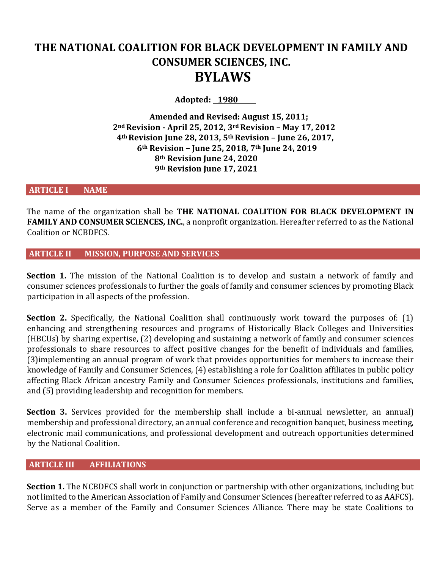# **THE NATIONAL COALITION FOR BLACK DEVELOPMENT IN FAMILY AND CONSUMER SCIENCES, INC. BYLAWS**

**Adopted: 1980** 

 **Amended and Revised: August 15, 2011; nd Revision - April 25, 2012, 3rd Revision – May 17, 2012 th Revision June 28, 2013, 5th Revision – June 26, 2017, th Revision – June 25, 2018, 7th June 24, 2019 th Revision June 24, 2020 th Revision June 17, 2021**

## **ARTICLE I NAME**

The name of the organization shall be **THE NATIONAL COALITION FOR BLACK DEVELOPMENT IN FAMILY AND CONSUMER SCIENCES, INC.**, a nonprofit organization. Hereafter referred to as the National Coalition or NCBDFCS.

## **ARTICLE II MISSION, PURPOSE AND SERVICES**

**Section 1.** The mission of the National Coalition is to develop and sustain a network of family and consumer sciences professionals to further the goals of family and consumer sciences by promoting Black participation in all aspects of the profession.

**Section 2.** Specifically, the National Coalition shall continuously work toward the purposes of: (1) enhancing and strengthening resources and programs of Historically Black Colleges and Universities (HBCUs) by sharing expertise, (2) developing and sustaining a network of family and consumer sciences professionals to share resources to affect positive changes for the benefit of individuals and families, (3)implementing an annual program of work that provides opportunities for members to increase their knowledge of Family and Consumer Sciences, (4) establishing a role for Coalition affiliates in public policy affecting Black African ancestry Family and Consumer Sciences professionals, institutions and families, and (5) providing leadership and recognition for members.

**Section 3.** Services provided for the membership shall include a bi-annual newsletter, an annual) membership and professional directory, an annual conference and recognition banquet, business meeting, electronic mail communications, and professional development and outreach opportunities determined by the National Coalition.

# **ARTICLE III AFFILIATIONS**

**Section 1.** The NCBDFCS shall work in conjunction or partnership with other organizations, including but not limited to the American Association of Family and Consumer Sciences (hereafter referred to as AAFCS). Serve as a member of the Family and Consumer Sciences Alliance. There may be state Coalitions to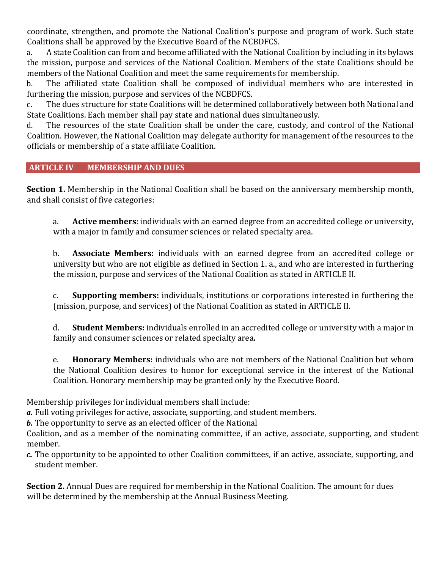coordinate, strengthen, and promote the National Coalition's purpose and program of work. Such state Coalitions shall be approved by the Executive Board of the NCBDFCS.

a. A state Coalition can from and become affiliated with the National Coalition by including in its bylaws the mission, purpose and services of the National Coalition. Members of the state Coalitions should be members of the National Coalition and meet the same requirements for membership.

b. The affiliated state Coalition shall be composed of individual members who are interested in furthering the mission, purpose and services of the NCBDFCS.

c. The dues structure for state Coalitions will be determined collaboratively between both National and State Coalitions. Each member shall pay state and national dues simultaneously.

d. The resources of the state Coalition shall be under the care, custody, and control of the National Coalition. However, the National Coalition may delegate authority for management of the resources to the officials or membership of a state affiliate Coalition.

# **ARTICLE IV MEMBERSHIP AND DUES**

**Section 1.** Membership in the National Coalition shall be based on the anniversary membership month, and shall consist of five categories:

a. **Active members**: individuals with an earned degree from an accredited college or university, with a major in family and consumer sciences or related specialty area.

b. **Associate Members:** individuals with an earned degree from an accredited college or university but who are not eligible as defined in Section 1. a., and who are interested in furthering the mission, purpose and services of the National Coalition as stated in ARTICLE II.

c. **Supporting members:** individuals, institutions or corporations interested in furthering the (mission, purpose, and services) of the National Coalition as stated in ARTICLE II.

d. **Student Members:** individuals enrolled in an accredited college or university with a major in family and consumer sciences or related specialty area*.* 

e. **Honorary Members:** individuals who are not members of the National Coalition but whom the National Coalition desires to honor for exceptional service in the interest of the National Coalition. Honorary membership may be granted only by the Executive Board.

Membership privileges for individual members shall include:

*a.* Full voting privileges for active, associate, supporting, and student members.

*b.* The opportunity to serve as an elected officer of the National

Coalition, and as a member of the nominating committee, if an active, associate, supporting, and student member.

*c.* The opportunity to be appointed to other Coalition committees, if an active, associate, supporting, and student member.

**Section 2.** Annual Dues are required for membership in the National Coalition. The amount for dues will be determined by the membership at the Annual Business Meeting.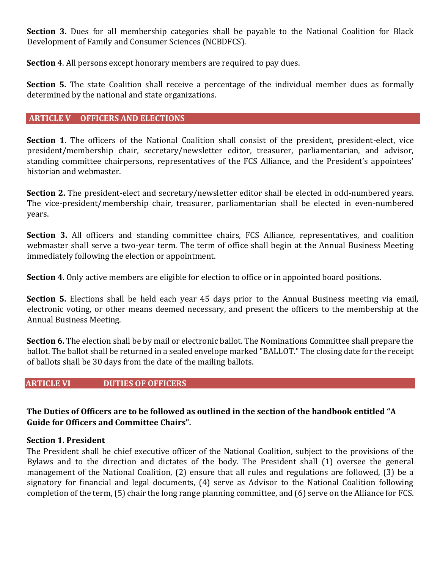**Section 3.** Dues for all membership categories shall be payable to the National Coalition for Black Development of Family and Consumer Sciences (NCBDFCS).

**Section** 4. All persons except honorary members are required to pay dues.

**Section 5.** The state Coalition shall receive a percentage of the individual member dues as formally determined by the national and state organizations.

## **ARTICLE V OFFICERS AND ELECTIONS**

**Section 1**. The officers of the National Coalition shall consist of the president, president-elect, vice president/membership chair, secretary/newsletter editor, treasurer, parliamentarian, and advisor, standing committee chairpersons, representatives of the FCS Alliance, and the President's appointees' historian and webmaster.

**Section 2.** The president-elect and secretary/newsletter editor shall be elected in odd-numbered years. The vice-president/membership chair, treasurer, parliamentarian shall be elected in even-numbered years.

**Section 3.** All officers and standing committee chairs, FCS Alliance, representatives, and coalition webmaster shall serve a two-year term. The term of office shall begin at the Annual Business Meeting immediately following the election or appointment.

**Section 4**. Only active members are eligible for election to office or in appointed board positions.

**Section 5.** Elections shall be held each year 45 days prior to the Annual Business meeting via email, electronic voting, or other means deemed necessary, and present the officers to the membership at the Annual Business Meeting.

**Section 6.** The election shall be by mail or electronic ballot. The Nominations Committee shall prepare the ballot. The ballot shall be returned in a sealed envelope marked "BALLOT." The closing date for the receipt of ballots shall be 30 days from the date of the mailing ballots.

# **ARTICLE VI DUTIES OF OFFICERS**

# **The Duties of Officers are to be followed as outlined in the section of the handbook entitled "A Guide for Officers and Committee Chairs".**

## **Section 1. President**

The President shall be chief executive officer of the National Coalition, subject to the provisions of the Bylaws and to the direction and dictates of the body. The President shall (1) oversee the general management of the National Coalition, (2) ensure that all rules and regulations are followed, (3) be a signatory for financial and legal documents, (4) serve as Advisor to the National Coalition following completion of the term, (5) chair the long range planning committee, and (6) serve on the Alliance for FCS.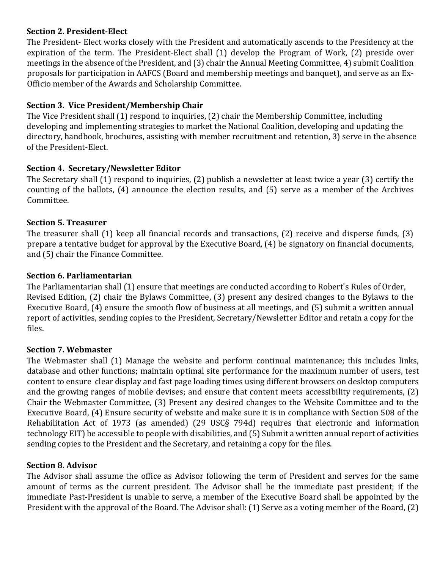## **Section 2. President-Elect**

The President- Elect works closely with the President and automatically ascends to the Presidency at the expiration of the term. The President-Elect shall (1) develop the Program of Work, (2) preside over meetings in the absence of the President, and (3) chair the Annual Meeting Committee, 4) submit Coalition proposals for participation in AAFCS (Board and membership meetings and banquet), and serve as an Ex-Officio member of the Awards and Scholarship Committee.

# **Section 3. Vice President/Membership Chair**

The Vice President shall (1) respond to inquiries, (2) chair the Membership Committee, including developing and implementing strategies to market the National Coalition, developing and updating the directory, handbook, brochures, assisting with member recruitment and retention, 3) serve in the absence of the President-Elect.

# **Section 4. Secretary/Newsletter Editor**

The Secretary shall (1) respond to inquiries, (2) publish a newsletter at least twice a year (3) certify the counting of the ballots, (4) announce the election results, and (5) serve as a member of the Archives Committee.

# **Section 5. Treasurer**

The treasurer shall (1) keep all financial records and transactions, (2) receive and disperse funds, (3) prepare a tentative budget for approval by the Executive Board, (4) be signatory on financial documents, and (5) chair the Finance Committee.

# **Section 6. Parliamentarian**

The Parliamentarian shall (1) ensure that meetings are conducted according to Robert's Rules of Order, Revised Edition, (2) chair the Bylaws Committee, (3) present any desired changes to the Bylaws to the Executive Board, (4) ensure the smooth flow of business at all meetings, and (5) submit a written annual report of activities, sending copies to the President, Secretary/Newsletter Editor and retain a copy for the files.

# **Section 7. Webmaster**

The Webmaster shall (1) Manage the website and perform continual maintenance; this includes links, database and other functions; maintain optimal site performance for the maximum number of users, test content to ensure clear display and fast page loading times using different browsers on desktop computers and the growing ranges of mobile devises; and ensure that content meets accessibility requirements, (2) Chair the Webmaster Committee, (3) Present any desired changes to the Website Committee and to the Executive Board, (4) Ensure security of website and make sure it is in compliance with Section 508 of the Rehabilitation Act of 1973 (as amended) (29 USC§ 794d) requires that electronic and information technology EIT) be accessible to people with disabilities, and (5) Submit a written annual report of activities sending copies to the President and the Secretary, and retaining a copy for the files.

## **Section 8. Advisor**

The Advisor shall assume the office as Advisor following the term of President and serves for the same amount of terms as the current president. The Advisor shall be the immediate past president; if the immediate Past-President is unable to serve, a member of the Executive Board shall be appointed by the President with the approval of the Board. The Advisor shall: (1) Serve as a voting member of the Board, (2)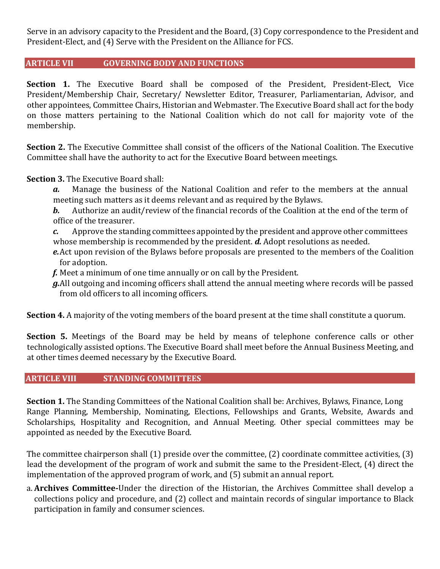Serve in an advisory capacity to the President and the Board, (3) Copy correspondence to the President and President-Elect, and (4) Serve with the President on the Alliance for FCS.

## **ARTICLE VII GOVERNING BODY AND FUNCTIONS**

**Section 1.** The Executive Board shall be composed of the President, President-Elect, Vice President/Membership Chair, Secretary/ Newsletter Editor, Treasurer, Parliamentarian, Advisor, and other appointees, Committee Chairs, Historian and Webmaster. The Executive Board shall act for the body on those matters pertaining to the National Coalition which do not call for majority vote of the membership.

**Section 2.** The Executive Committee shall consist of the officers of the National Coalition. The Executive Committee shall have the authority to act for the Executive Board between meetings.

**Section 3.** The Executive Board shall:

- *a.* Manage the business of the National Coalition and refer to the members at the annual meeting such matters as it deems relevant and as required by the Bylaws.
- *b.* Authorize an audit/review of the financial records of the Coalition at the end of the term of office of the treasurer.
- *c.* Approve the standing committees appointed by the president and approve other committees whose membership is recommended by the president. *d.* Adopt resolutions as needed.
- *e.*Act upon revision of the Bylaws before proposals are presented to the members of the Coalition for adoption.
- *f.* Meet a minimum of one time annually or on call by the President.
- *g.*All outgoing and incoming officers shall attend the annual meeting where records will be passed from old officers to all incoming officers.

**Section 4.** A majority of the voting members of the board present at the time shall constitute a quorum.

**Section 5.** Meetings of the Board may be held by means of telephone conference calls or other technologically assisted options. The Executive Board shall meet before the Annual Business Meeting, and at other times deemed necessary by the Executive Board.

## **ARTICLE VIII STANDING COMMITTEES**

**Section 1.** The Standing Committees of the National Coalition shall be: Archives, Bylaws, Finance, Long Range Planning, Membership, Nominating, Elections, Fellowships and Grants, Website, Awards and Scholarships, Hospitality and Recognition, and Annual Meeting. Other special committees may be appointed as needed by the Executive Board.

The committee chairperson shall (1) preside over the committee, (2) coordinate committee activities, (3) lead the development of the program of work and submit the same to the President-Elect, (4) direct the implementation of the approved program of work, and (5) submit an annual report.

a. **Archives Committee-**Under the direction of the Historian, the Archives Committee shall develop a collections policy and procedure, and (2) collect and maintain records of singular importance to Black participation in family and consumer sciences.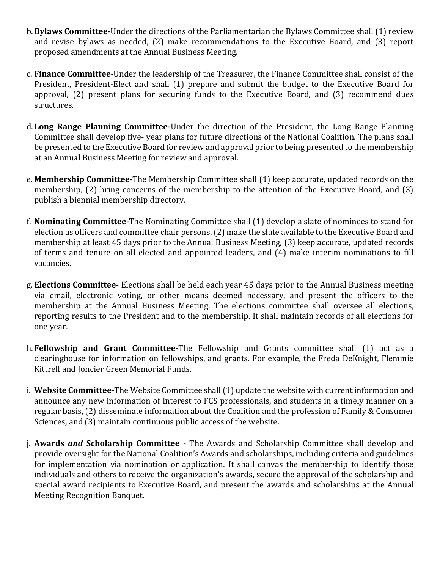- b.**Bylaws Committee-**Under the directions of the Parliamentarian the Bylaws Committee shall (1) review and revise bylaws as needed, (2) make recommendations to the Executive Board, and (3) report proposed amendments at the Annual Business Meeting.
- c. **Finance Committee-**Under the leadership of the Treasurer, the Finance Committee shall consist of the President, President-Elect and shall (1) prepare and submit the budget to the Executive Board for approval, (2) present plans for securing funds to the Executive Board, and (3) recommend dues structures.
- d.**Long Range Planning Committee-**Under the direction of the President, the Long Range Planning Committee shall develop five- year plans for future directions of the National Coalition. The plans shall be presented to the Executive Board for review and approval prior to being presented to the membership at an Annual Business Meeting for review and approval.
- e. **Membership Committee-**The Membership Committee shall (1) keep accurate, updated records on the membership, (2) bring concerns of the membership to the attention of the Executive Board, and (3) publish a biennial membership directory.
- f. **Nominating Committee-**The Nominating Committee shall (1) develop a slate of nominees to stand for election as officers and committee chair persons, (2) make the slate available to the Executive Board and membership at least 45 days prior to the Annual Business Meeting, (3) keep accurate, updated records of terms and tenure on all elected and appointed leaders, and (4) make interim nominations to fill vacancies.
- g. **Elections Committee-** Elections shall be held each year 45 days prior to the Annual Business meeting via email, electronic voting, or other means deemed necessary, and present the officers to the membership at the Annual Business Meeting. The elections committee shall oversee all elections, reporting results to the President and to the membership. It shall maintain records of all elections for one year.
- h.**Fellowship and Grant Committee-**The Fellowship and Grants committee shall (1) act as a clearinghouse for information on fellowships, and grants. For example, the Freda DeKnight, Flemmie Kittrell and Joncier Green Memorial Funds.
- i. **Website Committee-**The Website Committee shall (1) update the website with current information and announce any new information of interest to FCS professionals, and students in a timely manner on a regular basis, (2) disseminate information about the Coalition and the profession of Family & Consumer Sciences, and (3) maintain continuous public access of the website.
- j. **Awards** *and* **Scholarship Committee** The Awards and Scholarship Committee shall develop and provide oversight for the National Coalition's Awards and scholarships, including criteria and guidelines for implementation via nomination or application. It shall canvas the membership to identify those individuals and others to receive the organization's awards, secure the approval of the scholarship and special award recipients to Executive Board, and present the awards and scholarships at the Annual Meeting Recognition Banquet.